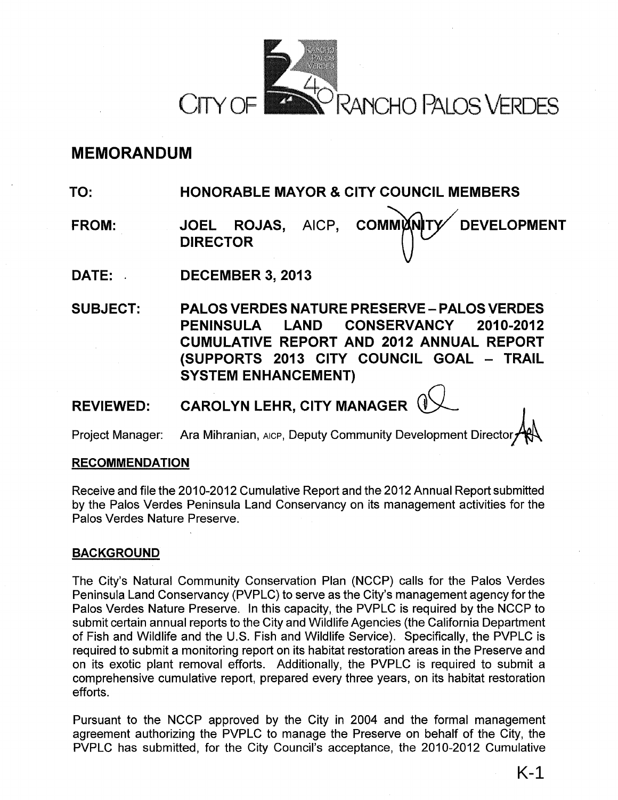

# **MEMORANDUM**

**TO: HONORABLE MAYOR & CITY COUNCIL MEMBERS** 

- **FROM: JOEL ROJAS,** AICP, **COMMUN DEVELOPMENT DIRECTOR**
- **DATE:** . **DECEMBER 3, 2013**

**SUBJECT: PALOS VERDES NATURE PRESERVE- PALOS VERDES PENINSULA LAND CONSERVANCY 2010-2012 CUMULATIVE REPORT AND 2012 ANNUAL REPORT (SUPPORTS 2013 CITY COUNCIL GOAL - TRAIL SYSTEM ENHANCEMENT)** 

**REVIEWED: CAROLYN LEHR, CITY MANAGER** 

Project Manager: Ara Mihranian, AICP, Deputy Community Development Director

# **RECOMMENDATION**

Receive and file the 2010-2012 Cumulative Report and the 2012 Annual Report submitted by the Palos Verdes Peninsula Land Conservancy on its management activities for the Palos Verdes Nature Preserve.

# **BACKGROUND**

The City's Natural Community Conservation Plan (NCCP) calls for the Palos Verdes Peninsula Land Conservancy (PVPLC) to serve as the City's management agency for the Palos Verdes Nature Preserve. In this capacity, the PVPLC is required by the NCCP to submit certain annual reports to the City and Wildlife Agencies (the California Department of Fish and Wildlife and the U.S. Fish and Wildlife Service). Specifically, the PVPLC is required to submit a monitoring report on its habitat restoration areas in the Preserve and on its exotic plant removal efforts. Additionally, the PVPLC is required to submit a comprehensive cumulative report, prepared every three years, on its habitat restoration efforts.

Pursuant to the NCCP approved by the City in 2004 and the formal management agreement authorizing the PVPLC to manage the Preserve on behalf of the City, the PVPLC has submitted, for the City Council's acceptance, the 2010-2012 Cumulative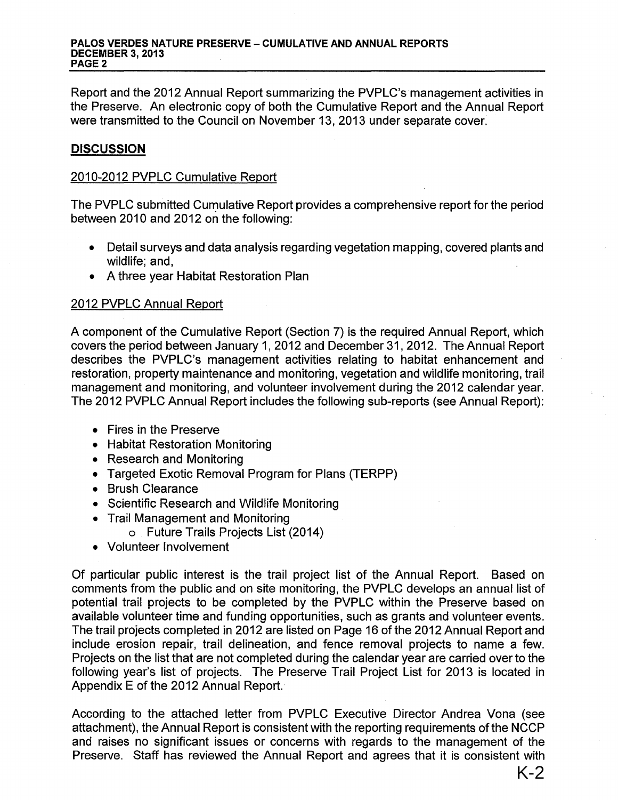#### PALOS VERDES NATURE PRESERVE - CUMULATIVE AND ANNUAL REPORTS DECEMBER 3, 2013 PAGE<sub>2</sub>

Report and the 2012 Annual Report summarizing the PVPLC's management activities in the Preserve. An electronic copy of both the Cumulative Report and the Annual Report were transmitted to the Council on November 13, 2013 under separate cover.

# **DISCUSSION**

### 2010-2012 PVPLC Cumulative Report

The PVPLC submitted Cumulative Report provides a comprehensive report for the period between 2010 and 2012 on the following:

- Detail surveys and data analysis regarding vegetation mapping, covered plants and wildlife; and,
- A three year Habitat Restoration Plan

## 2012 PVPLC Annual Report

A component of the Cumulative Report (Section 7) is the required Annual Report, which covers the period between January 1, 2012 and December 31, 2012. The Annual Report describes the PVPLC's management activities relating to habitat enhancement and restoration, property maintenance and monitoring, vegetation and wildlife monitoring, trail management and monitoring, and volunteer involvement during the 2012 calendar year. The 2012 PVPLC Annual Report includes the following sub-reports (see Annual Report):

- Fires in the Preserve
- Habitat Restoration Monitoring
- Research and Monitoring
- Targeted Exotic Removal Program for Plans (TERPP)
- Brush Clearance
- Scientific Research and Wildlife Monitoring
- Trail Management and Monitoring
	- o Future Trails Projects List (2014)
- Volunteer Involvement

Of particular public interest is the trail project list of the Annual Report. Based on comments from the public and on site monitoring, the PVPLC develops an annual list of potential trail projects to be completed by the PVPLC within the Preserve based on available volunteer time and funding opportunities, such as grants and volunteer events. The trail projects completed in 2012 are listed on Page 16 of the 2012 Annual Report and include erosion repair, trail delineation, and fence removal projects to name a few. Projects on the list that are not completed during the calendar year are carried over to the following year's list of projects. The Preserve Trail Project List for 2013 is located in Appendix E of the 2012 Annual Report.

According to the attached letter from PVPLC Executive Director Andrea Vona (see attachment), the Annual Report is consistent with the reporting requirements of the NCCP and raises no significant issues or concerns with regards to the management of the Preserve. Staff has reviewed the Annual Report and agrees that it is consistent with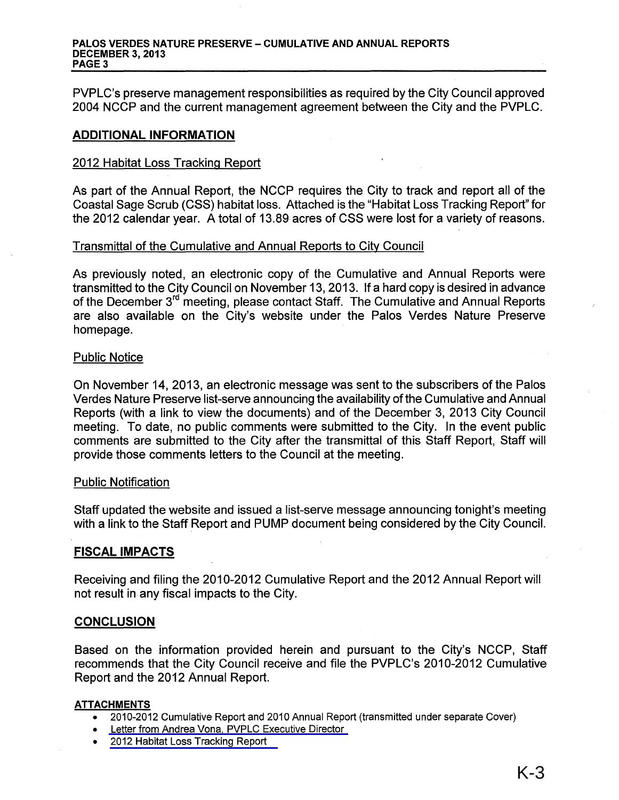#### PALOS VERDES NATURE PRESERVE - CUMULATIVE AND ANNUAL REPORTS DECEMBER 3, 2013 PAGE<sub>3</sub>

PVPLC's preserve management responsibilities as required by the City Council approved 2004 NCCP and the current management agreement between the City and the PVPLC.

#### ADDITIONAL INFORMATION

#### 2012 Habitat Loss Tracking Report

As part of the Annual Report, the NCCP requires the City to track and report all of the Coastal Sage Scrub (CSS) habitat loss. Attached is the "Habitat Loss Tracking Report" for the 2012 calendar year. A total of 13.89 acres of CSS were lost for a variety of reasons.

### Transmittal of the Cumulative and Annual Reports to City Council

As previously noted, an electronic copy of the Cumulative and Annual Reports were transmitted to the City Council on November 13, 2013. If a hard copy is desired in advance of the December 3<sup>rd</sup> meeting, please contact Staff. The Cumulative and Annual Reports are also available on the City's website under the Palos Verdes Nature Preserve homepage.

#### Public Notice

On November 14, 2013, an electronic message was sent to the subscribers of the Palos Verdes Nature Preserve list-serve announcing the availability of the Cumulative and Annual Reports (with a link to view the documents) and of the December 3, 2013 City Council meeting. To date, no public comments were submitted to the City. In the event public comments are submitted to the City after the transmittal of this Staff Report, Staff will provide those comments letters to the Council at the meeting.

#### Public Notification

Staff updated the website and issued a list-serve message announcing tonight's meeting with a link to the Staff Report and PUMP document being considered by the City Council.

### FISCAL IMPACTS

Receiving and filing the 2010-2012 Cumulative Report and the 2012 Annual Report will not result in any fiscal impacts to the City.

#### **CONCLUSION**

Based on the information provided herein and pursuant to the City's NCCP, Staff recommends that the City Council receive and file the PVPLC's 2010-2012 Cumulative Report and the 2012 Annual Report.

#### ATTACHMENTS

- 2010-2012 Cumulative Report and 2010 Annual Report (transmitted under separate Cover)
- [Letter from Andrea Vona, PVPLC Executive Director](#page-3-0)
- [2012 Habitat Loss Tracking Report](#page-4-0)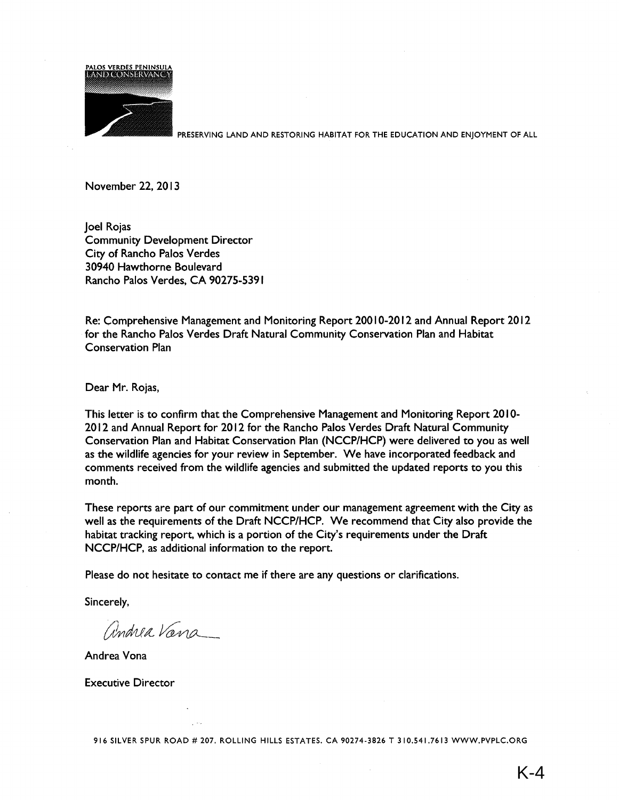<span id="page-3-0"></span>

PRESERVING LAND AND RESTORING HABITAT FOR THE EDUCATION AND ENJOYMENT OF ALL

November 22, 2013

Joel Rojas Community Development Director City of Rancho Palos Verdes 30940 Hawthorne Boulevard Rancho Palos Verdes, CA 90275-5391

Re: Comprehensive Management and Monitoring Report 200I0-2012 and Annual Report 2012 for the Rancho Palos Verdes Draft Natural Community Conservation Plan and Habitat Conservation Plan

Dear Mr. Rojas,

This letter is to confirm that the Comprehensive Management and Monitoring Report 2010-2012 and Annual Report for 2012 for the Rancho Palos Verdes Draft Natural Community Conservation Plan and Habitat Conservation Plan (NCCP/HCP) were delivered to you as well as the wildlife agencies for your review in September. We have incorporated feedback and comments received from the wildlife agencies and submitted the updated reports to you this month.

These reports are part of our commitment under our management agreement with the City as well as the requirements of the Draft NCCP/HCP. We recommend that City also provide the habitat tracking report, which is a portion of the City's requirements under the Draft NCCP/HCP, as additional information to the report.

Please do not hesitate to contact me if there are any questions or clarifications.

Sincerely,

andrea Vana

Andrea Vona

Executive Director

916 SILVER SPUR ROAD# 207. ROLLING HILLS ESTATES. CA 90274-3826 T 310.541.7613 WWW.PVPLC.ORG